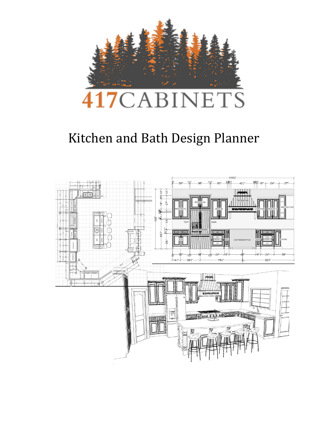

# Kitchen and Bath Design Planner

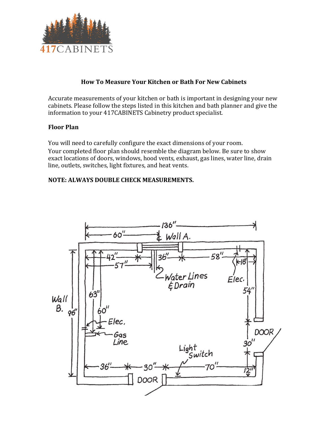

## **How To Measure Your Kitchen or Bath For New Cabinets**

Accurate measurements of your kitchen or bath is important in designing your new cabinets. Please follow the steps listed in this kitchen and bath planner and give the information to your 417CABINETS Cabinetry product specialist.

#### **Floor Plan**

You will need to carefully configure the exact dimensions of your room. Your completed floor plan should resemble the diagram below. Be sure to show exact locations of doors, windows, hood vents, exhaust, gas lines, water line, drain line, outlets, switches, light fixtures, and heat vents.

#### **NOTE: ALWAYS DOUBLE CHECK MEASUREMENTS.**

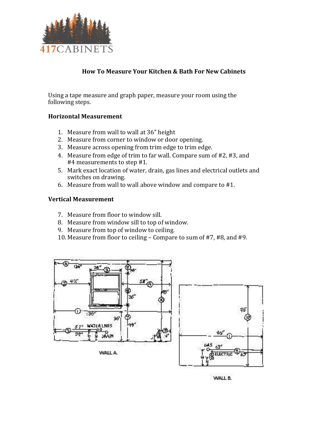

## **How To Measure Your Kitchen & Bath For New Cabinets**

Using a tape measure and graph paper, measure your room using the following steps.

#### **Horizontal Measurement**

- 1. Measure from wall to wall at 36" height
- 2. Measure from corner to window or door opening.
- 3. Measure across opening from trim edge to trim edge.
- 4. Measure from edge of trim to far wall. Compare sum of #2, #3, and #4 measurements to step #1.
- 5. Mark exact location of water, drain, gas lines and electrical outlets and switches on drawing.
- 6. Measure from wall to wall above window and compare to #1.

#### **Vertical Measurement**

- 7. Measure from floor to window sill.
- 8. Measure from window sill to top of window.
- 9. Measure from top of window to ceiling.
- 10. Measure from floor to ceiling Compare to sum of #7, #8, and #9.



WALL B.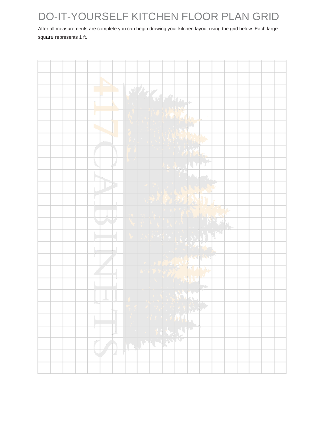# DO-IT-YOURSELF KITCHEN FLOOR PLAN GRID

After all measurements are complete you can begin drawing your kitchen layout using the grid below. Each large square represents 1 ft.

|    | North Street |      |           |                 |                             |  |
|----|--------------|------|-----------|-----------------|-----------------------------|--|
|    |              |      |           |                 |                             |  |
|    |              |      |           |                 |                             |  |
|    |              |      |           |                 |                             |  |
| b. | i            |      |           |                 |                             |  |
|    | k.           |      |           |                 |                             |  |
|    |              |      |           | WEA             |                             |  |
|    |              |      |           | E RESERVATION   |                             |  |
|    |              |      |           |                 |                             |  |
|    | ÷,           |      |           |                 |                             |  |
|    |              |      | 光防御       |                 |                             |  |
|    |              |      |           |                 | $\mathbb{C}^{\times}$       |  |
|    |              |      |           |                 | <b>ALLES</b>                |  |
|    |              |      | $\bullet$ |                 |                             |  |
|    |              |      |           |                 |                             |  |
|    |              |      |           | Trip State      |                             |  |
|    |              |      |           | <b>NEW YEAR</b> |                             |  |
|    |              |      |           |                 | $\mathcal{M}_{\mathcal{D}}$ |  |
|    |              |      |           | HA ST           |                             |  |
|    | ₹            |      |           | 马尔萨             |                             |  |
|    |              |      | 73        |                 |                             |  |
| т  | J            |      |           | U               |                             |  |
| Σ  |              | LIFE | THE N     |                 |                             |  |
|    | 4<br>a s     |      |           |                 |                             |  |
|    |              |      |           |                 |                             |  |